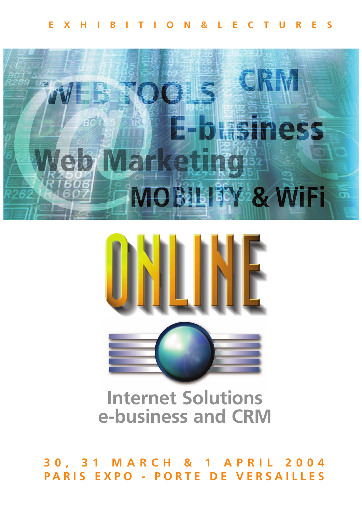



# **Internet Solutions e-business and CRM**

**30, 31 MARCH & 1 APRIL 2004 PARIS EXPO - PORTE DE VERSAILLES**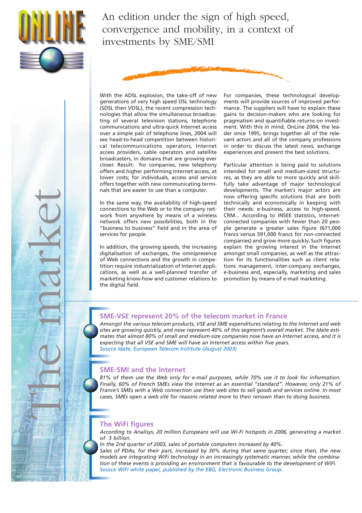

The market

An edition under the sign of high speed, convergence and mobility, in a context of investments by SME/SMI



With the ADSL explosion, the take-off of new generations of very high speed DSL technology (SDSL then VDSL), the recent compression technologies that allow the simultaneous broadcasting of several television stations, telephone communications and ultra-quick Internet access over a simple pair of telephone lines, 2004 will see head-to-head competition between historical telecommunications operators, Internet access providers, cable operators and satellite broadcasters, in domains that are growing ever closer. Result: for companies, new telephony offers and higher performing Internet access, at lower costs; for individuals, access and service offers together with new communicating terminals that are easier to use than a computer.

In the same way, the availability of high-speed connections to the Web or to the company network from anywhere by means of a wireless network offers new possibilities, both in the "business to business" field and in the area of services for people.

In addition, the growing speeds, the increasing digitalisation of exchanges, the omnipresence of Web connections and the growth in competition require industrialization of Internet applications, as well as a well-planned transfer of marketing know-how and customer relations to the digital field.

For companies, these technological developments will provide sources of improved performance. The suppliers will have to explain these gains to decision-makers who are looking for pragmatism and quantifiable returns on investment. With this in mind, OnLine 2004, the leader since 1995, brings together all of the relevant actors and all of the company professions in order to discuss the latest news, exchange experiences and present the best solutions.

Particular attention is being paid to solutions intended for small and medium-sized structures, as they are able to more quickly and skillfully take advantage of major technological developments. The market's major actors are now offering specific solutions that are both technically and economically in keeping with their needs: e-business, access to high-speed, CRM... According to INSEE statistics, Internetconnected companies with fewer than 20 people generate a greater sales figure (671,000 francs versus 591,000 francs for non-connected companies) and grow more quickly. Such figures explain the growing interest in the Internet amongst small companies, as well as the attraction for its functionalities such as client relations management, inter-company exchanges, e-business and, especially, marketing and sales promotion by means of e-mail marketing.

### **SME-VSE represent 20% of the telecom market in France**

*Amongst the various telecom products, VSE and SME expenditures relating to the Internet and web sites are growing quickly, and now represent 40% of this segment's overall market. The Idate estimates that almost 80% of small and medium-size companies now have an Internet access, and it is expecting that all VSE and SME will have an Internet access within five years. Source Idate, European Telecom Institute (August 2003)*

# **SME-SMI and the Internet**

*81% of them use the Web only for e-mail purposes, while 70% use it to look for information. Finally, 60% of French SMEs view the Internet as an essential "standard". However, only 21% of France's SMEs with a Web connection use their web sites to sell goods and services online. In most cases, SMEs open a web site for reasons related more to their renown than to doing business.* 

### **The WiFi figures**

*According to Analisys, 20 million Europeans will use Wi-Fi hotspots in 2006, generating a market of 3 billion.*

*In the 2nd quarter of 2003, sales of portable computers increased by 40%.*

*Sales of PDAs, for their part, increased by 30% during that same quarter; since then, the new models are integrating WiFi technology in an increasingly systematic manner, while the combination of these events is providing an environment that is favourable to the development of WiFi. Source WiFi white paper, published by the EBG, Electronic Business Group.*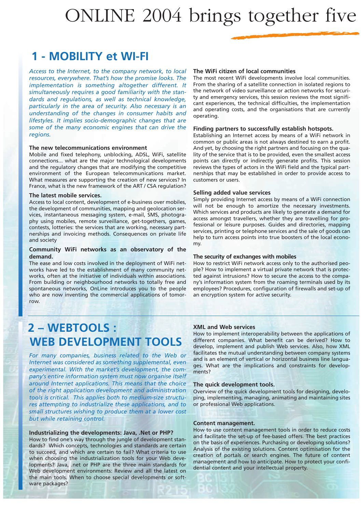# ONLINE 2004 brings together five

# **1 - MOBILITY et WI-FI**

*Access to the Internet, to the company network, to local resources, everywhere. That's how the promise looks. The implementation is something altogether different. It simultaneously requires a good familiarity with the standards and regulations, as well as technical knowledge, particularly in the area of security. Also necessary is an understanding of the changes in consumer habits and lifestyles. It implies socio-demographic changes that are some of the many economic engines that can drive the regions.*

#### **The new telecommunications environment**

Mobile and fixed telephony, unblocking, ADSL, WiFi, satellite connections... what are the major technological developments and the regulatory changes that are modifying the competitive environment of the European telecommunications market. What measures are supporting the creation of new services? In France, what is the new framework of the ART / CSA regulation?

#### **The latest mobile services.**

Access to local content, development of e-business over mobiles, the development of communities, mapping and geolocation services, instantaneous messaging system, e-mail, SMS, photography using mobiles, remote surveillance, get-togethers, games, contests, lotteries: the services that are working, necessary partnerships and invoicing methods. Consequences on private life and society

#### **Community WiFi networks as an observatory of the demand.**

The ease and low costs involved in the deployment of WiFi networks have led to the establishment of many community networks, often at the initiative of individuals within associations. From building or neighbourhood networks to totally free and spontaneous networks, OnLine introduces you to the people who are now inventing the commercial applications of tomorrow.

#### **The WiFi citizen of local communities**

The most recent WiFi developments involve local communities. From the sharing of a satellite connection in isolated regions to the network of video surveillance or action networks for security and emergency services, this session reviews the most significant experiences, the technical difficulties, the implementation and operating costs, and the organisations that are currently operating.

#### **Finding partners to successfully establish hotspots.**

Establishing an Internet access by means of a WiFi network in common or public areas is not always destined to earn a profit. And yet, by choosing the right partners and focusing on the quality of the service that is to be provided, even the smallest access points can directly or indirectly generate profits. This session reviews the types of actors in the WiFi field and the typical partnerships that may be established in order to provide access to customers or users.

#### **Selling added value services**

Simply providing Internet access by means of a WiFi connection will not be enough to amortize the necessary investments. Which services and products are likely to generate a demand for access amongst travellers, whether they are travelling for professional or leisure purposes. Guides and directories, mapping services, printing or telephone services and the sale of goods can help to turn access points into true boosters of the local economy.

#### **The security of exchanges with mobiles**

How to restrict WiFi network access only to the authorised people? How to implement a virtual private network that is protected against intrusions? How to secure the access to the company's information system from the roaming terminals used by its employees? Procedures, configuration of firewalls and set-up of an encryption system for active security.

# **2 – WEBTOOLS : WEB DEVELOPMENT TOOLS**

*For many companies, business related to the Web or Internet was considered as something supplemental, even experimental. With the market's development, the company's entire information system must now organise itself around Internet applications. This means that the choice of the right application development and administration tools is critical. This applies both to medium-size structures attempting to industrialize these applications, and to small structures wishing to produce them at a lower cost but while retaining control.* 

#### **Industrializing the developments: Java, .Net or PHP?**

How to find one's way through the jungle of development standards? Which concepts, technologies and standards are certain to succeed, and which are certain to fail? What criteria to use when choosing the industrialization tools for your Web developments? Java, .net or PHP are the three main standards for Web development environments: Review and all the latest on the main tools. When to choose special developments or software packages?

#### **XML and Web services**

How to implement interoperability between the applications of different companies. What benefit can be derived? How to develop, implement and publish Web services. Also, how XML facilitates the mutual understanding between company systems and is an element of vertical or horizontal business line languages. What are the implications and constraints for developments?

#### **The quick development tools.**

Overview of the quick development tools for designing, developing, implementing, managing, animating and maintaining sites or professional Web applications.

#### **Content management.**

How to use content management tools in order to reduce costs and facilitate the set-up of fee-based offers. The best practices on the basis of experiences. Purchasing or developing solutions? Analysis of the existing solutions. Content optimisation for the creation of portals or search engines. The future of content management and how to anticipate. How to protect your confidential content and your intellectual property.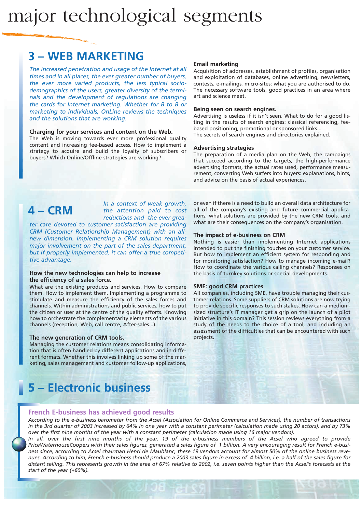# major technological segments

# **3 – WEB MARKETING**

*The increased penetration and usage of the Internet at all times and in all places, the ever greater number of buyers, the ever more varied products, the less typical sociodemographics of the users, greater diversity of the terminals and the development of regulations are changing the cards for Internet marketing. Whether for B to B or marketing to individuals, OnLine reviews the techniques and the solutions that are working.*

#### **Charging for your services and content on the Web.**

The Web is moving towards ever more professional quality content and increasing fee-based access. How to implement a strategy to acquire and build the loyalty of subscribers or buyers? Which Online/Offline strategies are working?

#### **Email marketing**

Acquisition of addresses, establishment of profiles, organisation and exploitation of databases, online advertising, newsletters, contests, e-mailings, micro-sites: what you are authorised to do. The necessary software tools, good practices in an area where art and science meet.

#### **Being seen on search engines.**

Advertising is useless if it isn't seen. What to do for a good listing in the results of search engines: classical referencing, feebased positioning, promotional or sponsored links... The secrets of search engines and directories explained.

#### **Advertising strategies**

The preparation of a media plan on the Web, the campaigns that succeed according to the targets, the high-performance advertising formats, the actual rates used, performance measurement, converting Web surfers into buyers: explanations, hints, and advice on the basis of actual experiences.

# **4 – CRM**

*In a context of weak growth, the attention paid to cost reductions and the ever grea-*

*ter care devoted to customer satisfaction are providing CRM (Customer Relationship Management) with an allnew dimension. Implementing a CRM solution requires major involvement on the part of the sales department, but if properly implemented, it can offer a true competitive advantage.*

#### **How the new technologies can help to increase the efficiency of a sales force.**

What are the existing products and services. How to compare them. How to implement them. Implementing a programme to stimulate and measure the efficiency of the sales forces and channels. Within administrations and public services, how to put the citizen or user at the centre of the quality efforts. Knowing how to orchestrate the complementarity elements of the various channels (reception, Web, call centre, After-sales...).

#### **The new generation of CRM tools.**

Managing the customer relations means consolidating information that is often handled by different applications and in different formats. Whether this involves linking up some of the marketing, sales management and customer follow-up applications, or even if there is a need to build an overall data architecture for all of the company's existing and future commercial applications, what solutions are provided by the new CRM tools, and what are their consequences on the company's organisation.

#### **The impact of e-business on CRM**

Nothing is easier than implementing Internet applications intended to put the finishing touches on your customer service. But how to implement an efficient system for responding and for monitoring satisfaction? How to manage incoming e-mail? How to coordinate the various calling channels? Responses on the basis of turnkey solutions or special developments.

#### **SME: good CRM practices**

All companies, including SME, have trouble managing their customer relations. Some suppliers of CRM solutions are now trying to provide specific responses to such stakes. How can a mediumsized structure's IT manager get a grip on the launch of a pilot initiative in this domain? This session reviews everything from a study of the needs to the choice of a tool, and including an assessment of the difficulties that can be encountered with such projects.

# **5 – Electronic business**

#### **French E-business has achieved good results**

*According to the e-business barometer from the Acsel (Association for Online Commerce and Services), the number of transactions in the 3rd quarter of 2003 increased by 64% in one year with a constant perimeter (calculation made using 20 actors), and by 73% over the first nine months of the year with a constant perimeter (calculation made using 16 major vendors).*

*In all, over the first nine months of the year, 19 of the e-business members of the Acsel who agreed to provide PriceWaterhouseCoopers with their sales figures, generated a sales figure of 1 billion. A very encouraging result for French e-business since, according to Acsel chairman Henri de Maublanc, these 19 vendors account for almost 50% of the online business revenues. According to him, French e-business should produce a 2003 sales figure in excess of 4 billion, i.e. a half of the sales figure for distant selling. This represents growth in the area of 67% relative to 2002, i.e. seven points higher than the Acsel's forecasts at the start of the year (+60%).*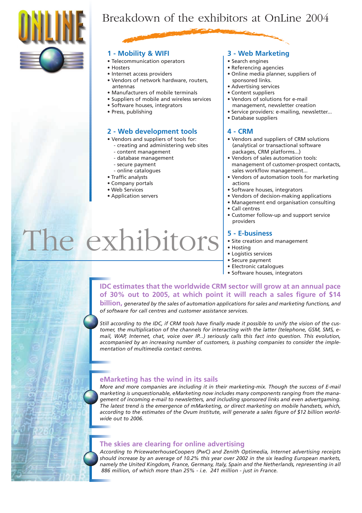

# Breakdown of the exhibitors at OnLine 2004

### **1 - Mobility & WIFI**

- Telecommunication operators
- Hosters
- Internet access providers
- Vendors of network hardware, routers, antennas
- Manufacturers of mobile terminals
- Suppliers of mobile and wireless services
- Software houses, integrators
- Press, publishing

# **2 - Web development tools**

- Vendors and suppliers of tools for:
	- creating and administering web sites
	- content management
	- database management
	- secure payment
	- online catalogues
- Traffic analysts
- Company portals
- Web Services

The exhibitors

• Application servers

# **3 - Web Marketing**

- Search engines
- Referencing agencies
- Online media planner, suppliers of sponsored links.
- Advertising services
- Content suppliers
- Vendors of solutions for e-mail management, newsletter creation
- Service providers: e-mailing, newsletter...
- Database suppliers

### **4 - CRM**

- Vendors and suppliers of CRM solutions (analytical or transactional software packages, CRM platforms...)
- Vendors of sales automation tools: management of customer-prospect contacts, sales workflow management...
- Vendors of automation tools for marketing actions
- Software houses, integrators
- Vendors of decision-making applications
- Management end organisation consulting
- Call centres
- Customer follow-up and support service providers

### **5 - E-business**

- Site creation and management
- Hosting
- Logistics services
- Secure payment
- Electronic catalogues
- Software houses, integrators

# **IDC estimates that the worldwide CRM sector will grow at an annual pace of 30% out to 2005, at which point it will reach a sales figure of \$14**

**billion,** *generated by the sales of automation applications for sales and marketing functions, and of software for call centres and customer assistance services.*

*Still according to the IDC, if CRM tools have finally made it possible to unify the vision of the customer, the multiplication of the channels for interacting with the latter (telephone, GSM, SMS, email, WAP, Internet, chat, voice over IP...) seriously calls this fact into question. This evolution, accompanied by an increasing number of customers, is pushing companies to consider the implementation of multimedia contact centres.* 

# **eMarketing has the wind in its sails**

*More and more companies are including it in their marketing-mix. Though the success of E-mail marketing is unquestionable, eMarketing now includes many components ranging from the management of incoming e-mail to newsletters, and including sponsored links and even advertgaming. The latest trend is the emergence of mMarketing, or direct marketing on mobile handsets, which, according to the estimates of the Ovum Institute, will generate a sales figure of \$12 billion worldwide out to 2006.* 

# **The skies are clearing for online advertising**

*According to PricewaterhouseCoopers (PwC) and Zenith Optimedia, Internet advertising receipts should increase by an average of 10.2% this year over 2002 in the six leading European markets, namely the United Kingdom, France, Germany, Italy, Spain and the Netherlands, representing in all 886 million, of which more than 25% - i.e. 241 million - just in France.*